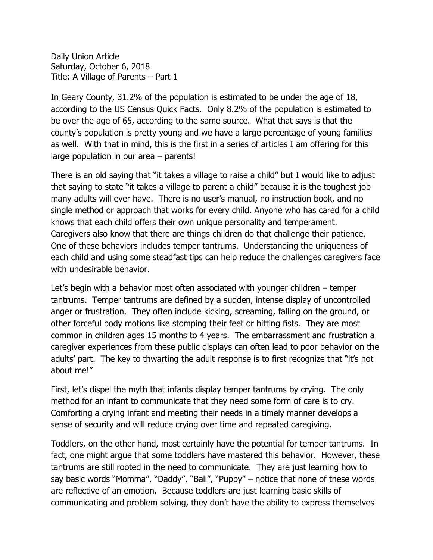Daily Union Article Saturday, October 6, 2018 Title: A Village of Parents – Part 1

In Geary County, 31.2% of the population is estimated to be under the age of 18, according to the US Census Quick Facts. Only 8.2% of the population is estimated to be over the age of 65, according to the same source. What that says is that the county's population is pretty young and we have a large percentage of young families as well. With that in mind, this is the first in a series of articles I am offering for this large population in our area – parents!

There is an old saying that "it takes a village to raise a child" but I would like to adjust that saying to state "it takes a village to parent a child" because it is the toughest job many adults will ever have. There is no user's manual, no instruction book, and no single method or approach that works for every child. Anyone who has cared for a child knows that each child offers their own unique personality and temperament. Caregivers also know that there are things children do that challenge their patience. One of these behaviors includes temper tantrums. Understanding the uniqueness of each child and using some steadfast tips can help reduce the challenges caregivers face with undesirable behavior.

Let's begin with a behavior most often associated with younger children – temper tantrums. Temper tantrums are defined by a sudden, intense display of uncontrolled anger or frustration. They often include kicking, screaming, falling on the ground, or other forceful body motions like stomping their feet or hitting fists. They are most common in children ages 15 months to 4 years. The embarrassment and frustration a caregiver experiences from these public displays can often lead to poor behavior on the adults' part. The key to thwarting the adult response is to first recognize that "it's not about me!"

First, let's dispel the myth that infants display temper tantrums by crying. The only method for an infant to communicate that they need some form of care is to cry. Comforting a crying infant and meeting their needs in a timely manner develops a sense of security and will reduce crying over time and repeated caregiving.

Toddlers, on the other hand, most certainly have the potential for temper tantrums. In fact, one might argue that some toddlers have mastered this behavior. However, these tantrums are still rooted in the need to communicate. They are just learning how to say basic words "Momma", "Daddy", "Ball", "Puppy" – notice that none of these words are reflective of an emotion. Because toddlers are just learning basic skills of communicating and problem solving, they don't have the ability to express themselves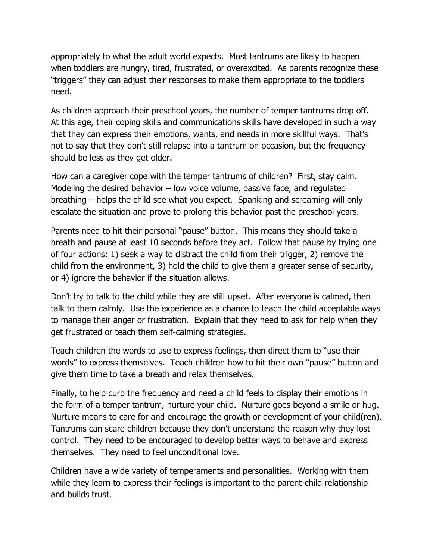appropriately to what the adult world expects. Most tantrums are likely to happen when toddlers are hungry, tired, frustrated, or overexcited. As parents recognize these "triggers" they can adjust their responses to make them appropriate to the toddlers need.

As children approach their preschool years, the number of temper tantrums drop off. At this age, their coping skills and communications skills have developed in such a way that they can express their emotions, wants, and needs in more skillful ways. That's not to say that they don't still relapse into a tantrum on occasion, but the frequency should be less as they get older.

How can a caregiver cope with the temper tantrums of children? First, stay calm. Modeling the desired behavior – low voice volume, passive face, and regulated breathing – helps the child see what you expect. Spanking and screaming will only escalate the situation and prove to prolong this behavior past the preschool years.

Parents need to hit their personal "pause" button. This means they should take a breath and pause at least 10 seconds before they act. Follow that pause by trying one of four actions: 1) seek a way to distract the child from their trigger, 2) remove the child from the environment, 3) hold the child to give them a greater sense of security, or 4) ignore the behavior if the situation allows.

Don't try to talk to the child while they are still upset. After everyone is calmed, then talk to them calmly. Use the experience as a chance to teach the child acceptable ways to manage their anger or frustration. Explain that they need to ask for help when they get frustrated or teach them self-calming strategies.

Teach children the words to use to express feelings, then direct them to "use their words" to express themselves. Teach children how to hit their own "pause" button and give them time to take a breath and relax themselves.

Finally, to help curb the frequency and need a child feels to display their emotions in the form of a temper tantrum, nurture your child. Nurture goes beyond a smile or hug. Nurture means to care for and encourage the growth or development of your child(ren). Tantrums can scare children because they don't understand the reason why they lost control. They need to be encouraged to develop better ways to behave and express themselves. They need to feel unconditional love.

Children have a wide variety of temperaments and personalities. Working with them while they learn to express their feelings is important to the parent-child relationship and builds trust.